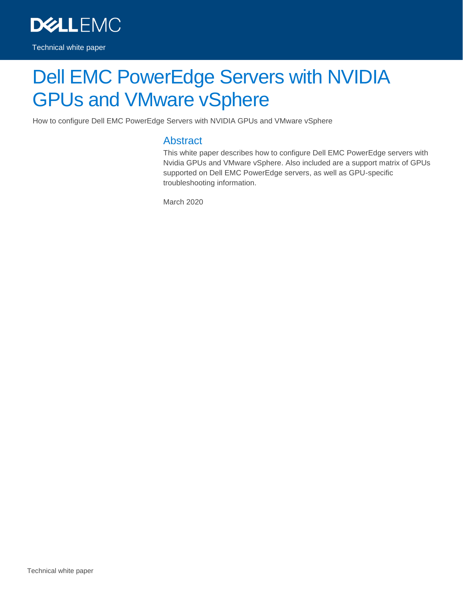

# Dell EMC PowerEdge Servers with NVIDIA GPUs and VMware vSphere

How to configure Dell EMC PowerEdge Servers with NVIDIA GPUs and VMware vSphere

#### Abstract

This white paper describes how to configure Dell EMC PowerEdge servers with Nvidia GPUs and VMware vSphere. Also included are a support matrix of GPUs supported on Dell EMC PowerEdge servers, as well as GPU-specific troubleshooting information.

March 2020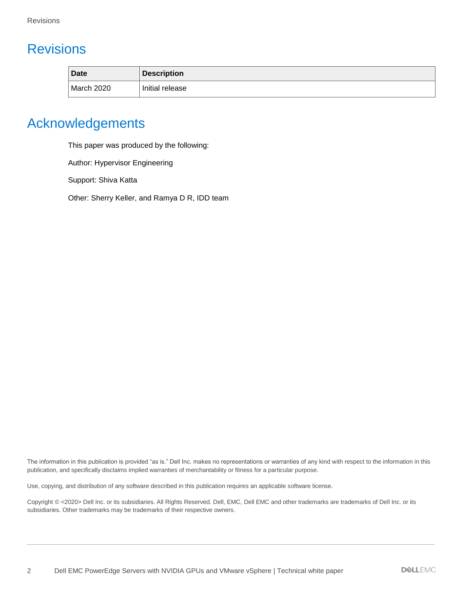## <span id="page-1-0"></span>**Revisions**

| <b>Date</b> | <b>Description</b> |
|-------------|--------------------|
| March 2020  | Initial release    |

## <span id="page-1-1"></span>Acknowledgements

This paper was produced by the following:

Author: Hypervisor Engineering

Support: Shiva Katta

Other: Sherry Keller, and Ramya D R, IDD team

The information in this publication is provided "as is." Dell Inc. makes no representations or warranties of any kind with respect to the information in this publication, and specifically disclaims implied warranties of merchantability or fitness for a particular purpose.

Use, copying, and distribution of any software described in this publication requires an applicable software license.

Copyright © <2020> Dell Inc. or its subsidiaries. All Rights Reserved. Dell, EMC, Dell EMC and other trademarks are trademarks of Dell Inc. or its subsidiaries. Other trademarks may be trademarks of their respective owners.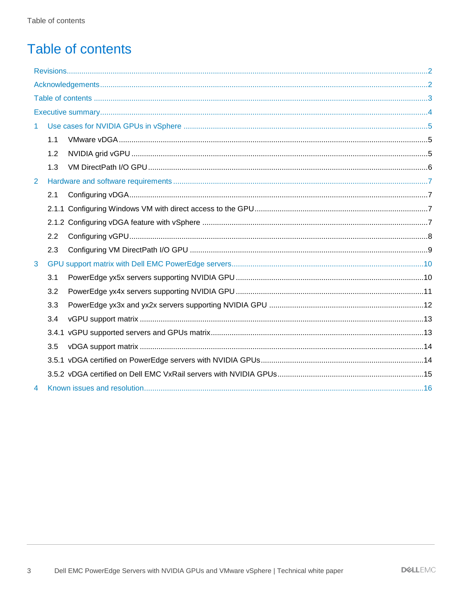## <span id="page-2-0"></span>**Table of contents**

| $\mathbf{1}$ |     |  |
|--------------|-----|--|
|              | 1.1 |  |
|              | 1.2 |  |
|              | 1.3 |  |
| 2            |     |  |
|              | 2.1 |  |
|              |     |  |
|              |     |  |
|              | 2.2 |  |
|              | 2.3 |  |
| 3            |     |  |
|              | 3.1 |  |
|              | 3.2 |  |
|              | 3.3 |  |
|              | 3.4 |  |
|              |     |  |
|              | 3.5 |  |
|              |     |  |
|              |     |  |
| 4            |     |  |
|              |     |  |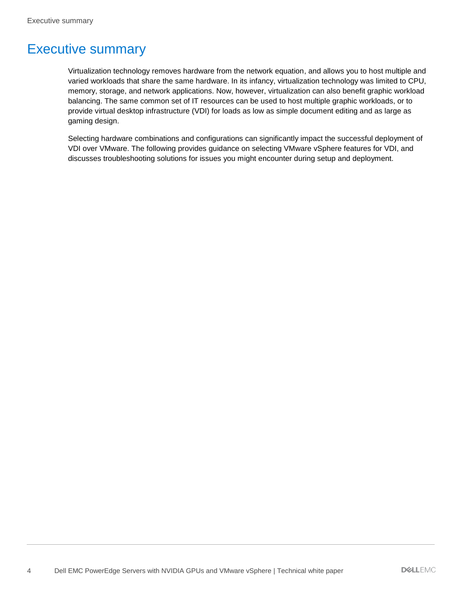## <span id="page-3-0"></span>Executive summary

Virtualization technology removes hardware from the network equation, and allows you to host multiple and varied workloads that share the same hardware. In its infancy, virtualization technology was limited to CPU, memory, storage, and network applications. Now, however, virtualization can also benefit graphic workload balancing. The same common set of IT resources can be used to host multiple graphic workloads, or to provide virtual desktop infrastructure (VDI) for loads as low as simple document editing and as large as gaming design.

Selecting hardware combinations and configurations can significantly impact the successful deployment of VDI over VMware. The following provides guidance on selecting VMware vSphere features for VDI, and discusses troubleshooting solutions for issues you might encounter during setup and deployment.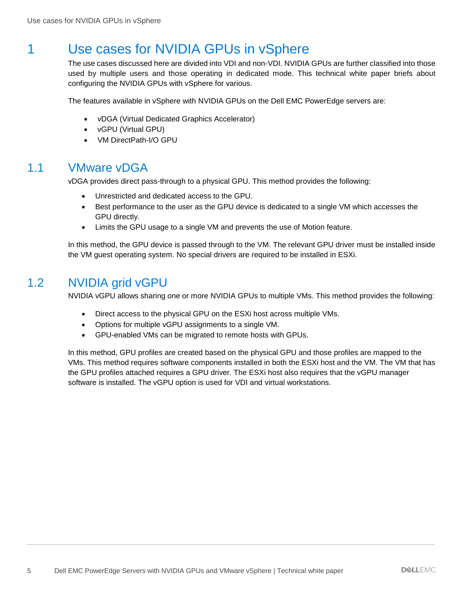## <span id="page-4-0"></span>1 Use cases for NVIDIA GPUs in vSphere

The use cases discussed here are divided into VDI and non-VDI. NVIDIA GPUs are further classified into those used by multiple users and those operating in dedicated mode. This technical white paper briefs about configuring the NVIDIA GPUs with vSphere for various.

The features available in vSphere with NVIDIA GPUs on the Dell EMC PowerEdge servers are:

- vDGA (Virtual Dedicated Graphics Accelerator)
- vGPU (Virtual GPU)
- VM DirectPath-I/O GPU

### <span id="page-4-1"></span>1.1 VMware vDGA

vDGA provides direct pass-through to a physical GPU. This method provides the following:

- Unrestricted and dedicated access to the GPU.
- Best performance to the user as the GPU device is dedicated to a single VM which accesses the GPU directly.
- Limits the GPU usage to a single VM and prevents the use of Motion feature.

In this method, the GPU device is passed through to the VM. The relevant GPU driver must be installed inside the VM guest operating system. No special drivers are required to be installed in ESXi.

### <span id="page-4-2"></span>1.2 NVIDIA grid vGPU

NVIDIA vGPU allows sharing one or more NVIDIA GPUs to multiple VMs. This method provides the following:

- Direct access to the physical GPU on the ESXi host across multiple VMs.
- Options for multiple vGPU assignments to a single VM.
- GPU-enabled VMs can be migrated to remote hosts with GPUs.

In this method, GPU profiles are created based on the physical GPU and those profiles are mapped to the VMs. This method requires software components installed in both the ESXi host and the VM. The VM that has the GPU profiles attached requires a GPU driver. The ESXi host also requires that the vGPU manager software is installed. The vGPU option is used for VDI and virtual workstations.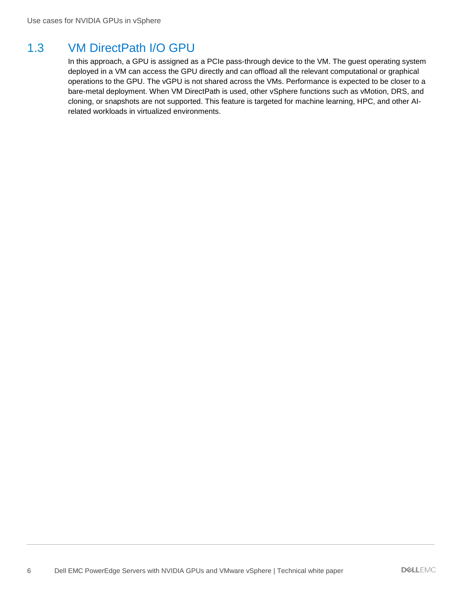### <span id="page-5-0"></span>1.3 VM DirectPath I/O GPU

In this approach, a GPU is assigned as a PCIe pass-through device to the VM. The guest operating system deployed in a VM can access the GPU directly and can offload all the relevant computational or graphical operations to the GPU. The vGPU is not shared across the VMs. Performance is expected to be closer to a bare-metal deployment. When VM DirectPath is used, other vSphere functions such as vMotion, DRS, and cloning, or snapshots are not supported. This feature is targeted for machine learning, HPC, and other AIrelated workloads in virtualized environments.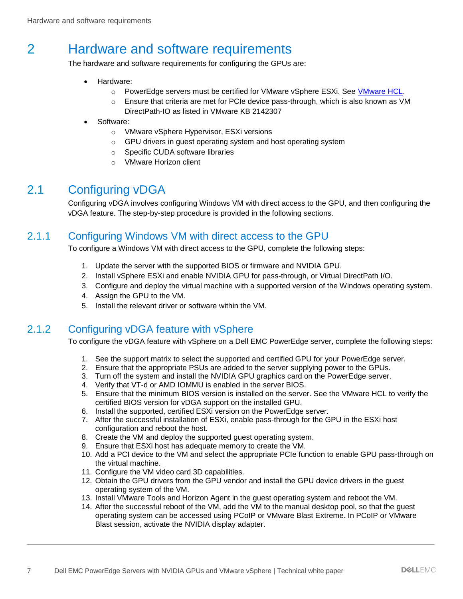## <span id="page-6-0"></span>2 Hardware and software requirements

The hardware and software requirements for configuring the GPUs are:

- Hardware:
	- o PowerEdge servers must be certified for VMware vSphere ESXi. See [VMware HCL.](https://www.vmware.com/resources/compatibility/search.php?deviceCategory=server&details=1&partner=23&cpuSeries=124,134,119,128,122,129,130&page=1&display_interval=10&sortColumn=Partner&sortOrder=Asc)
	- $\circ$  Ensure that criteria are met for PCIe device pass-through, which is also known as VM DirectPath-IO as listed in VMware KB 2142307
- Software:
	- o VMware vSphere Hypervisor, ESXi versions
	- o GPU drivers in guest operating system and host operating system
	- o Specific CUDA software libraries
	- o VMware Horizon client

### <span id="page-6-1"></span>2.1 Configuring vDGA

Configuring vDGA involves configuring Windows VM with direct access to the GPU, and then configuring the vDGA feature. The step-by-step procedure is provided in the following sections.

### <span id="page-6-2"></span>2.1.1 Configuring Windows VM with direct access to the GPU

To configure a Windows VM with direct access to the GPU, complete the following steps:

- 1. Update the server with the supported BIOS or firmware and NVIDIA GPU.
- 2. Install vSphere ESXi and enable NVIDIA GPU for pass-through, or Virtual DirectPath I/O.
- 3. Configure and deploy the virtual machine with a supported version of the Windows operating system.
- 4. Assign the GPU to the VM.
- 5. Install the relevant driver or software within the VM.

### <span id="page-6-3"></span>2.1.2 Configuring vDGA feature with vSphere

To configure the vDGA feature with vSphere on a Dell EMC PowerEdge server, complete the following steps:

- 1. See the support matrix to select the supported and certified GPU for your PowerEdge server.
- 2. Ensure that the appropriate PSUs are added to the server supplying power to the GPUs.
- 3. Turn off the system and install the NVIDIA GPU graphics card on the PowerEdge server.
- 4. Verify that VT-d or AMD IOMMU is enabled in the server BIOS.
- 5. Ensure that the minimum BIOS version is installed on the server. See the VMware HCL to verify the certified BIOS version for vDGA support on the installed GPU.
- 6. Install the supported, certified ESXi version on the PowerEdge server.
- 7. After the successful installation of ESXi, enable pass-through for the GPU in the ESXi host configuration and reboot the host.
- 8. Create the VM and deploy the supported guest operating system.
- 9. Ensure that ESXi host has adequate memory to create the VM.
- 10. Add a PCI device to the VM and select the appropriate PCIe function to enable GPU pass-through on the virtual machine.
- 11. Configure the VM video card 3D capabilities.
- 12. Obtain the GPU drivers from the GPU vendor and install the GPU device drivers in the guest operating system of the VM.
- 13. Install VMware Tools and Horizon Agent in the guest operating system and reboot the VM.
- 14. After the successful reboot of the VM, add the VM to the manual desktop pool, so that the guest operating system can be accessed using PCoIP or VMware Blast Extreme. In PCoIP or VMware Blast session, activate the NVIDIA display adapter.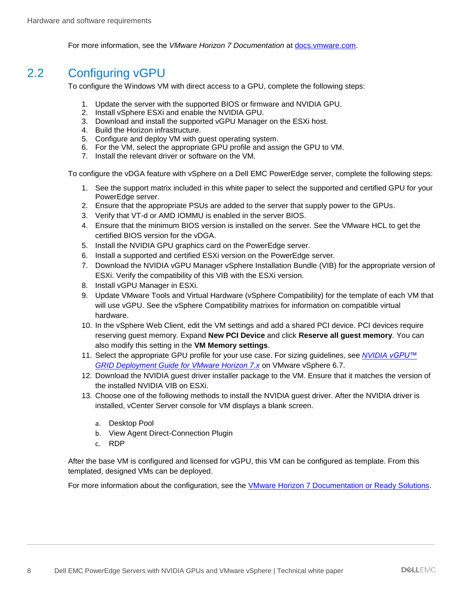For more information, see the *VMware Horizon 7 Documentation* at [docs.vmware.com.](https://docs.vmware.com/)

### <span id="page-7-0"></span>2.2 Configuring vGPU

To configure the Windows VM with direct access to a GPU, complete the following steps:

- 1. Update the server with the supported BIOS or firmware and NVIDIA GPU.
- 2. Install vSphere ESXi and enable the NVIDIA GPU.
- 3. Download and install the supported vGPU Manager on the ESXi host.
- 4. Build the Horizon infrastructure.
- 5. Configure and deploy VM with guest operating system.
- 6. For the VM, select the appropriate GPU profile and assign the GPU to VM.
- 7. Install the relevant driver or software on the VM.

To configure the vDGA feature with vSphere on a Dell EMC PowerEdge server, complete the following steps:

- 1. See the support matrix included in this white paper to select the supported and certified GPU for your PowerEdge server.
- 2. Ensure that the appropriate PSUs are added to the server that supply power to the GPUs.
- 3. Verify that VT-d or AMD IOMMU is enabled in the server BIOS.
- 4. Ensure that the minimum BIOS version is installed on the server. See the VMware HCL to get the certified BIOS version for the vDGA.
- 5. Install the NVIDIA GPU graphics card on the PowerEdge server.
- 6. Install a supported and certified ESXi version on the PowerEdge server.
- 7. Download the NVIDIA vGPU Manager vSphere Installation Bundle (VIB) for the appropriate version of ESXi. Verify the compatibility of this VIB with the ESXi version.
- 8. Install vGPU Manager in ESXi.
- 9. Update VMware Tools and Virtual Hardware (vSphere Compatibility) for the template of each VM that will use vGPU. See the vSphere Compatibility matrixes for information on compatible virtual hardware.
- 10. In the vSphere Web Client, edit the VM settings and add a shared PCI device. PCI devices require reserving guest memory. Expand **New PCI Device** and click **Reserve all guest memory**. You can also modify this setting in the **VM Memory settings**.
- 11. Select the appropriate GPU profile for your use case. For sizing guidelines, see *NVIDIA [vGPU™](https://images.nvidia.com/content/pdf/vgpu/guides/vgpu-deployment-guide-horizon-on-vsphere-final.pdf)  [GRID Deployment Guide for VMware Horizon 7.x](https://images.nvidia.com/content/pdf/vgpu/guides/vgpu-deployment-guide-horizon-on-vsphere-final.pdf)* on VMware vSphere 6.7.
- 12. Download the NVIDIA guest driver installer package to the VM. Ensure that it matches the version of the installed NVIDIA VIB on ESXi.
- 13. Choose one of the following methods to install the NVIDIA guest driver. After the NVIDIA driver is installed, vCenter Server console for VM displays a blank screen.
	- a. Desktop Pool
	- b. View Agent Direct-Connection Plugin
	- c. RDP

After the base VM is configured and licensed for vGPU, this VM can be configured as template. From this templated, designed VMs can be deployed.

For more information about the configuration, see the **VMware Horizon 7 Documentation or Ready Solutions**.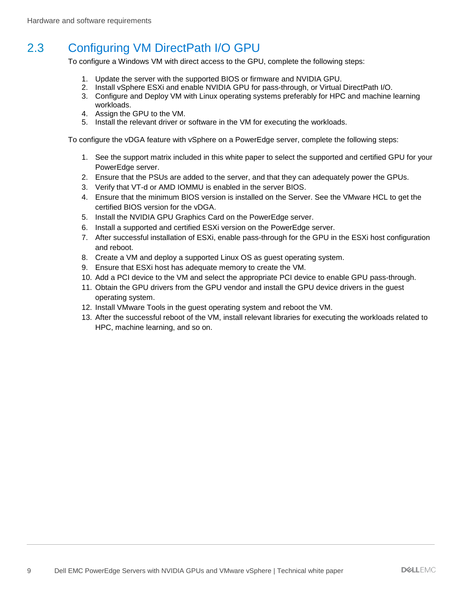## <span id="page-8-0"></span>2.3 Configuring VM DirectPath I/O GPU

To configure a Windows VM with direct access to the GPU, complete the following steps:

- 1. Update the server with the supported BIOS or firmware and NVIDIA GPU.
- 2. Install vSphere ESXi and enable NVIDIA GPU for pass-through, or Virtual DirectPath I/O.
- 3. Configure and Deploy VM with Linux operating systems preferably for HPC and machine learning workloads.
- 4. Assign the GPU to the VM.
- 5. Install the relevant driver or software in the VM for executing the workloads.

To configure the vDGA feature with vSphere on a PowerEdge server, complete the following steps:

- 1. See the support matrix included in this white paper to select the supported and certified GPU for your PowerEdge server.
- 2. Ensure that the PSUs are added to the server, and that they can adequately power the GPUs.
- 3. Verify that VT-d or AMD IOMMU is enabled in the server BIOS.
- 4. Ensure that the minimum BIOS version is installed on the Server. See the VMware HCL to get the certified BIOS version for the vDGA.
- 5. Install the NVIDIA GPU Graphics Card on the PowerEdge server.
- 6. Install a supported and certified ESXi version on the PowerEdge server.
- 7. After successful installation of ESXi, enable pass-through for the GPU in the ESXi host configuration and reboot.
- 8. Create a VM and deploy a supported Linux OS as guest operating system.
- 9. Ensure that ESXi host has adequate memory to create the VM.
- 10. Add a PCI device to the VM and select the appropriate PCI device to enable GPU pass-through.
- 11. Obtain the GPU drivers from the GPU vendor and install the GPU device drivers in the guest operating system.
- 12. Install VMware Tools in the guest operating system and reboot the VM.
- 13. After the successful reboot of the VM, install relevant libraries for executing the workloads related to HPC, machine learning, and so on.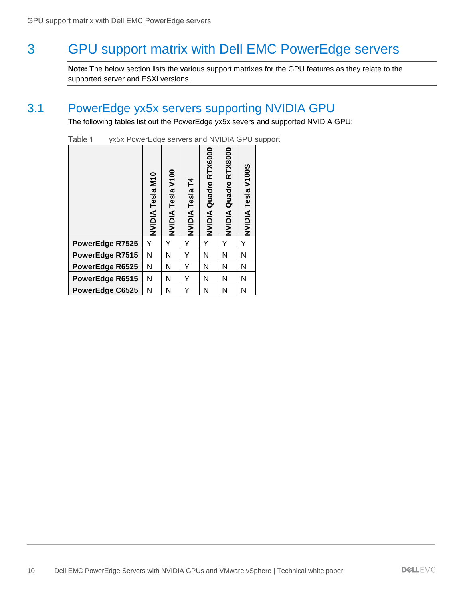## <span id="page-9-0"></span>3 GPU support matrix with Dell EMC PowerEdge servers

**Note:** The below section lists the various support matrixes for the GPU features as they relate to the supported server and ESXi versions.

### <span id="page-9-1"></span>3.1 PowerEdge yx5x servers supporting NVIDIA GPU

The following tables list out the PowerEdge yx5x severs and supported NVIDIA GPU:

|                 | <b>M10</b><br>NVIDIA Tesla | NVIDIA Tesla V100 | NVIDIA Tesla T4 | NVIDIA Quadro RTX6000 | NVIDIA Quadro RTX8000 | <b>NVIDIA Tesla V100S</b> |
|-----------------|----------------------------|-------------------|-----------------|-----------------------|-----------------------|---------------------------|
| PowerEdge R7525 | Y                          |                   | Y               | Y                     |                       | Y                         |
| PowerEdge R7515 | N                          | Ν                 | Y               | N                     | Ν                     | N                         |
| PowerEdge R6525 | N                          | Ν                 | Y               | Ν                     | N                     | Ν                         |
| PowerEdge R6515 | N                          | Ν                 | Y               | N                     | Ν                     | N                         |
| PowerEdge C6525 | N                          | Ν                 | Y               | N                     | N                     | N                         |

Table 1 yx5x PowerEdge servers and NVIDIA GPU support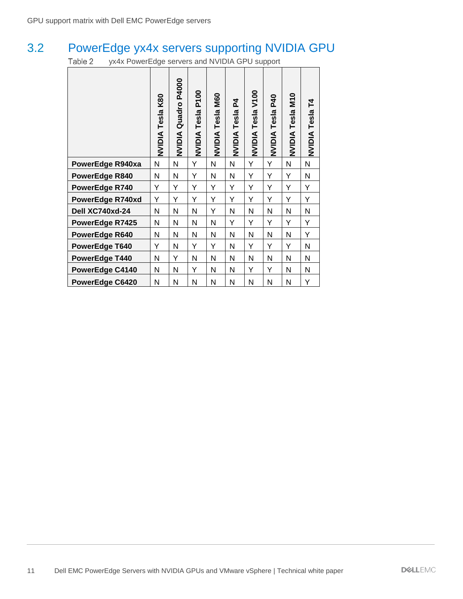## <span id="page-10-0"></span>3.2 PowerEdge yx4x servers supporting NVIDIA GPU

Table 2 yx4x PowerEdge servers and NVIDIA GPU support

|                  | K80<br>Tesla<br><b>NVIDIA</b> | P4000<br>Quadro<br><b>NVIDIA</b> | P100<br>NVIDIA Tesla | <b>M60</b><br><b>NVIDIA Tesla</b> | 54<br>Tesla<br><b>AIDIVN</b> | V100<br>Tesla<br><b>NVIDIA</b> | <b>P40</b><br>Tesla<br><b>AIDIX</b> | <b>M10</b><br><b>NVIDIA Tesla</b> | բ<br>NVIDIA Tesla |
|------------------|-------------------------------|----------------------------------|----------------------|-----------------------------------|------------------------------|--------------------------------|-------------------------------------|-----------------------------------|-------------------|
| PowerEdge R940xa | Ν                             | N                                | Υ                    | N                                 | N                            | Υ                              | Υ                                   | N                                 | Ν                 |
| PowerEdge R840   | Ν                             | Ν                                | Υ                    | Ν                                 | N                            | Υ                              | Υ                                   | Y                                 | Ν                 |
| PowerEdge R740   | Υ                             | Υ                                | Υ                    | Υ                                 | Υ                            | Υ                              | Υ                                   | Υ                                 | Y                 |
| PowerEdge R740xd | Υ                             | Υ                                | Υ                    | Υ                                 | Υ                            | Υ                              | Υ                                   | Υ                                 | Y                 |
| Dell XC740xd-24  | Ν                             | N                                | N                    | Υ                                 | N                            | N                              | N                                   | N                                 | N                 |
| PowerEdge R7425  | Ν                             | N                                | N                    | N                                 | Υ                            | Υ                              | Υ                                   | Y                                 | Υ                 |
| PowerEdge R640   | Ν                             | Ν                                | N                    | N                                 | Ν                            | N                              | N                                   | N                                 | Υ                 |
| PowerEdge T640   | Υ                             | Ν                                | Υ                    | Υ                                 | Ν                            | Υ                              | Υ                                   | Y                                 | Ν                 |
| PowerEdge T440   | Ν                             | Υ                                | N                    | N                                 | N                            | N                              | N                                   | N                                 | N                 |
| PowerEdge C4140  | Ν                             | N                                | Υ                    | N                                 | Ν                            | Υ                              | Υ                                   | N                                 | Ν                 |
| PowerEdge C6420  | N                             | N                                | N                    | N                                 | N                            | N                              | N                                   | N                                 | Υ                 |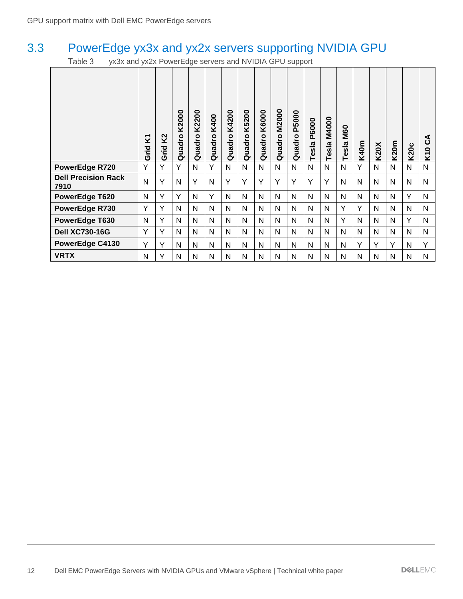## <span id="page-11-0"></span>3.3 PowerEdge yx3x and yx2x servers supporting NVIDIA GPU

Table 3 yx3x and yx2x PowerEdge servers and NVIDIA GPU support

|                                    | Σ<br>Grid    | K <sub>2</sub><br>Grid | K2000<br>Quadro | K2200<br>Quadro | K400<br>Quadro | K4200<br>uadro<br>ā | K5200<br>Quadro | K6000<br>Quadro | <b>M2000</b><br>Quadro | P5000<br>Quadro | <b>P6000</b><br>esla | <b>M4000</b><br>Tesla | <b>M60</b><br>Tesla | <b>K40m</b> | <b>K20X</b> | <b>K20m</b> | <b>K20c</b> | ⋖<br>ن<br>$\bullet$<br>Σ, |
|------------------------------------|--------------|------------------------|-----------------|-----------------|----------------|---------------------|-----------------|-----------------|------------------------|-----------------|----------------------|-----------------------|---------------------|-------------|-------------|-------------|-------------|---------------------------|
| PowerEdge R720                     | Y            | Y                      | Y               | N               | Y              | N                   | N               | N               | N                      | N               | N                    | N                     | N                   | Y           | N           | N           | N           | N                         |
| <b>Dell Precision Rack</b><br>7910 | N            | Y                      | N               | Y               | N              | Y                   | Y               | Y               | Y                      | Y               | Y                    | Y                     | N                   | N           | N           | N           | N           | N                         |
| PowerEdge T620                     | N            | Y                      | Y               | N               | Y              | N                   | N               | N               | N                      | N               | N                    | N                     | N                   | N           | N           | N           | Y           | N                         |
| PowerEdge R730                     | Y            | Y                      | N               | N               | N              | N                   | N               | N               | N                      | N               | N                    | N                     | Y                   | Y           | N           | N           | N           | N                         |
| PowerEdge T630                     | N            | Y                      | N               | N               | N              | N                   | N               | N               | N                      | N               | N                    | N                     | Y                   | N           | N           | N           | Y           | N                         |
| <b>Dell XC730-16G</b>              | Y            | Y                      | N               | N               | N              | N                   | N               | N               | N                      | N               | N                    | N                     | N                   | N           | N           | N           | N           | N                         |
| PowerEdge C4130                    | Y            | Υ                      | N               | N               | N              | N                   | N               | N               | N                      | N               | N                    | N                     | N                   | Y           | Υ           | Y           | N           | Y                         |
| <b>VRTX</b>                        | $\mathsf{N}$ | Υ                      | N               | N               | N              | N                   | N               | N               | N                      | N               | N                    | N                     | N                   | N           | N           | N           | N           | N                         |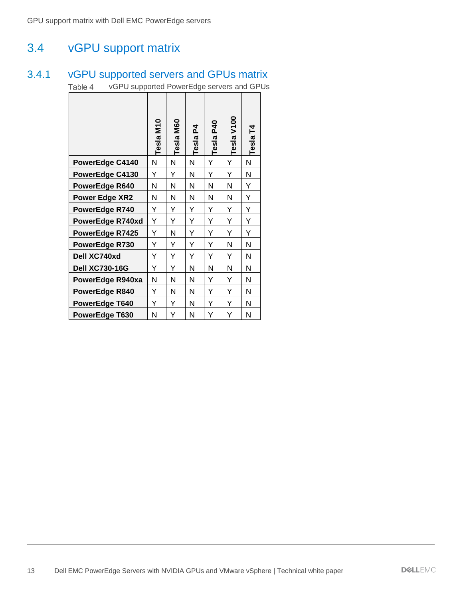### <span id="page-12-0"></span>3.4 vGPU support matrix

#### <span id="page-12-1"></span>3.4.1 vGPU supported servers and GPUs matrix

vGPU supported PowerEdge servers and GPUs Table 4

|                        | Tesla M <sub>10</sub> | <b>M60</b><br>Tesla | ᅐ<br>Tesla | <b>P40</b><br>Tesla | V100<br>Tesla | 74<br>Tesla |
|------------------------|-----------------------|---------------------|------------|---------------------|---------------|-------------|
| PowerEdge C4140        | N                     | Ν                   | Ν          | Y                   | Y             | N           |
| PowerEdge C4130        | Υ                     | Υ                   | Ν          | Υ                   | Y             | N           |
| PowerEdge R640         | N                     | N                   | N          | N                   | N             | Y           |
| <b>Power Edge XR2</b>  | N                     | Ν                   | Ν          | N                   | N             | Y           |
| PowerEdge R740         | Υ                     | Y                   | Y          | Υ                   | Υ             | Y           |
| PowerEdge R740xd       | Υ                     | Y                   | Y          | Υ                   | Y             | Y           |
| <b>PowerEdge R7425</b> | Υ                     | Ν                   | Y          | Y                   | Y             | Y           |
| PowerEdge R730         | Y                     | Y                   | Y          | Y                   | N             | N           |
| Dell XC740xd           | Y                     | Y                   | Y          | Y                   | Y             | N           |
| <b>Dell XC730-16G</b>  | Y                     | Y                   | Ν          | Ν                   | N             | N           |
| PowerEdge R940xa       | Ν                     | Ν                   | Ν          | Υ                   | Y             | N           |
| PowerEdge R840         | Y                     | Ν                   | Ν          | Y                   | Υ             | N           |
| PowerEdge T640         | Y                     | Y                   | N          | Y                   | Y             | N           |
| PowerEdge T630         | Ν                     | Υ                   | Ν          | Υ                   | Υ             | N           |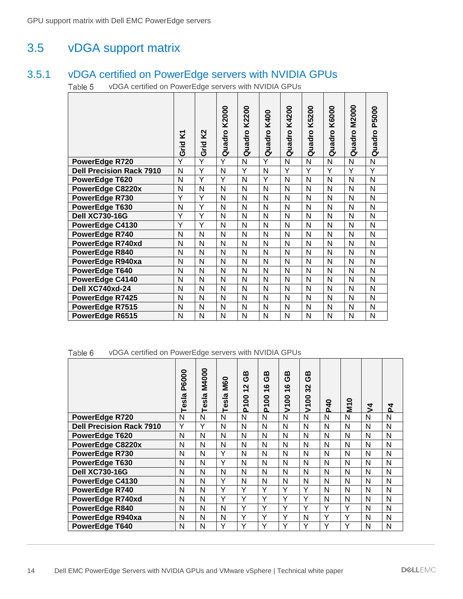### <span id="page-13-0"></span>3.5 vDGA support matrix

#### <span id="page-13-1"></span>3.5.1 vDGA certified on PowerEdge servers with NVIDIA GPUs

Table 5 vDGA certified on PowerEdge servers with NVIDIA GPUs

|                                 | Σ,<br>Grid              | Κ2<br>Grid | K2000<br>Quadro | K2200<br>Quadro | K400<br>Quadro | K4200<br>Quadro | K5200<br>Quadro | K6000<br>Quadro | <b>M2000</b><br>Quadro | P5000<br>Quadro |
|---------------------------------|-------------------------|------------|-----------------|-----------------|----------------|-----------------|-----------------|-----------------|------------------------|-----------------|
| PowerEdge R720                  | $\overline{\mathsf{Y}}$ | Ÿ          | Ÿ               | N               | Ÿ              | N               | N               | N               | N                      | N               |
| <b>Dell Precision Rack 7910</b> | N                       | Y          | N               | Y               | N              | Y               | Y               | Y               | Y                      | Y               |
| PowerEdge T620                  | N                       | Y          | Ý               | N               | Y              | N               | N               | N               | N                      | N               |
| PowerEdge C8220x                | N                       | N          | N               | Ν               | N              | N               | N               | N               | N                      | N               |
| PowerEdge R730                  | Y                       | Y          | N               | N               | N              | N               | N               | N               | N                      | N               |
| PowerEdge T630                  | N                       | Y          | N               | Ν               | N              | N               | N               | N               | N                      | N               |
| <b>Dell XC730-16G</b>           | Y                       | Y          | N               | N               | N              | N               | N               | N               | N                      | N               |
| PowerEdge C4130                 | Y                       | Y          | N               | Ν               | N              | N               | N               | N               | N                      | N               |
| PowerEdge R740                  | N                       | N          | N               | N               | N              | N               | N               | N               | N                      | N               |
| PowerEdge R740xd                | N                       | N          | N               | Ν               | N              | N               | N               | N               | N                      | N               |
| PowerEdge R840                  | N                       | N          | N               | N               | N              | N               | N               | N               | N                      | N               |
| PowerEdge R940xa                | N                       | N          | N               | Ν               | N              | N               | N               | N               | N                      | N               |
| PowerEdge T640                  | N                       | N          | N               | N               | N              | N               | N               | N               | N                      | N               |
| PowerEdge C4140                 | N                       | N          | N               | Ν               | N              | N               | N               | N               | N                      | N               |
| Dell XC740xd-24                 | N                       | N          | N               | N               | N              | N               | N               | N               | N                      | N               |
| PowerEdge R7425                 | N                       | N          | N               | Ν               | N              | N               | N               | N               | N                      | N               |
| PowerEdge R7515                 | N                       | N          | N               | Ν               | N              | N               | Ν               | N               | N                      | N               |
| PowerEdge R6515                 | N                       | N          | N               | Ν               | N              | N               | N               | N               | N                      | N               |

#### Table 6 vDGA certified on PowerEdge servers with NVIDIA GPUs

|                                 | <b>P6000</b><br>Tesla | M4000<br>Tesla | <b>M60</b><br>sla<br>ق | ≃<br>ტ<br>$\sim$<br>$\overline{\phantom{0}}$<br>8<br>$\overline{\mathbf{r}}$ | മ<br>O<br>$\boldsymbol{\omega}$<br>ᅮ<br>8<br>᠇<br>Ò. | മ<br>ტ<br>ဖ<br>$\overline{\phantom{0}}$<br>8<br>5 | മ<br>ტ<br>32<br>8<br>$\overline{\phantom{0}}$<br>↘ | $\mathsf d$<br>۵Ľ | 0<br>Ξ | $\overline{\mathcal{L}}$ | 4<br>o. |
|---------------------------------|-----------------------|----------------|------------------------|------------------------------------------------------------------------------|------------------------------------------------------|---------------------------------------------------|----------------------------------------------------|-------------------|--------|--------------------------|---------|
| <b>PowerEdge R720</b>           | N                     | N              | N                      | N                                                                            | N                                                    | N                                                 | N                                                  | N                 | N      | N                        | N       |
| <b>Dell Precision Rack 7910</b> | Y                     | Υ              | N                      | N                                                                            | N                                                    | N                                                 | N                                                  | N                 | N      | N                        | N       |
| <b>PowerEdge T620</b>           | N                     | N              | N                      | N                                                                            | N                                                    | N                                                 | N                                                  | N                 | N      | N                        | N       |
| <b>PowerEdge C8220x</b>         | N                     | N              | N                      | N                                                                            | N                                                    | N                                                 | N                                                  | N                 | N      | N                        | N       |
| PowerEdge R730                  | N                     | N              | Y                      | N                                                                            | N                                                    | N                                                 | N                                                  | N                 | N      | N                        | N       |
| PowerEdge T630                  | N                     | N              | Y                      | N                                                                            | N                                                    | N                                                 | N                                                  | N                 | N      | N                        | N       |
| <b>Dell XC730-16G</b>           | N                     | N              | N                      | N                                                                            | N                                                    | N                                                 | N                                                  | N                 | N      | N                        | N       |
| PowerEdge C4130                 | N                     | N              | Y                      | N                                                                            | N                                                    | N                                                 | N                                                  | N                 | N      | N                        | N       |
| PowerEdge R740                  | N                     | N              | Υ                      | Υ                                                                            | Y                                                    | Y                                                 | Υ                                                  | N                 | N      | N                        | N       |
| PowerEdge R740xd                | N                     | N              | Υ                      | Υ                                                                            | Υ                                                    | Υ                                                 | Υ                                                  | N                 | N      | N                        | N       |
| PowerEdge R840                  | N                     | N              | N                      | Υ                                                                            | Y                                                    | Υ                                                 | Υ                                                  | Υ                 | Υ      | N                        | N       |
| PowerEdge R940xa                | N                     | N              | N                      | Υ                                                                            | Y                                                    | Υ                                                 | N                                                  | Υ                 | Υ      | N                        | N       |
| <b>PowerEdge T640</b>           | N                     | N              | Υ                      | Υ                                                                            | Y                                                    | Υ                                                 | Υ                                                  | Υ                 | Υ      | N                        | N       |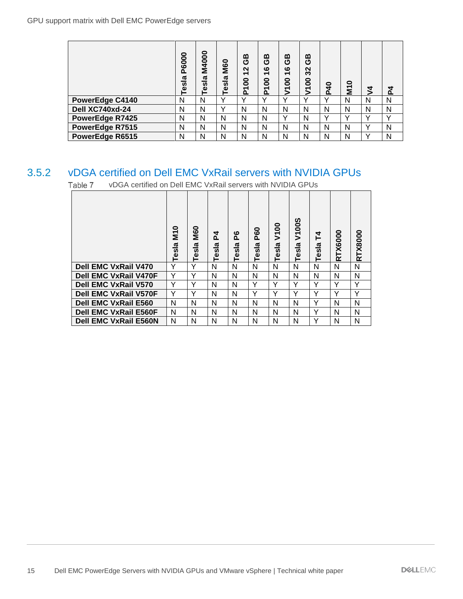|                        | P6000<br>$\overline{a}$<br>les<br>T | M4000<br>Tesla | <b>M60</b><br>ದ<br>⋍<br><b>S</b><br>ω<br>- | ≃<br>O<br>$\mathbf{\Omega}$<br>$\overline{\phantom{0}}$<br>P100 | മ<br>ပ<br>ဖ<br>$\overline{\phantom{0}}$<br>P <sub>100</sub> | ≃<br>O<br>$\boldsymbol{\omega}$<br>$\overline{\phantom{0}}$<br>8<br>$\overline{5}$ | മ<br>ტ<br>32<br>8<br>Σ | $\mathsf d$<br>ΔĹ | <b>M10</b> | 4            | ᅐ            |
|------------------------|-------------------------------------|----------------|--------------------------------------------|-----------------------------------------------------------------|-------------------------------------------------------------|------------------------------------------------------------------------------------|------------------------|-------------------|------------|--------------|--------------|
| PowerEdge C4140        | N                                   | N              | $\checkmark$                               | $\checkmark$                                                    | $\checkmark$                                                | $\checkmark$                                                                       | $\checkmark$           | v                 | N          | N            | N            |
| Dell XC740xd-24        | N                                   | N              | v                                          | N                                                               | N                                                           | N                                                                                  | N                      | N                 | N          | N            | N            |
| <b>PowerEdge R7425</b> | N                                   | N              | N                                          | N                                                               | N                                                           | Υ                                                                                  | N                      | v                 | v          |              | $\checkmark$ |
| PowerEdge R7515        | N                                   | N              | N                                          | N                                                               | N                                                           | N                                                                                  | N                      | N                 | N          | $\sqrt{}$    | N            |
| PowerEdge R6515        | N                                   | N              | N                                          | N                                                               | N                                                           | N                                                                                  | N                      | N                 | N          | $\checkmark$ | N            |

### <span id="page-14-0"></span>3.5.2 vDGA certified on Dell EMC VxRail servers with NVIDIA GPUs

|       |                                                                                                                                            | Tesla P6000             | Tesla M4000                             | Tesla M60                            | GB<br>P10012          | ල<br>ල<br>P10016  |                   | GB<br>V10016 | GB<br>V100 32     | <b>P40</b>        | <b>M10</b>                   | $\frac{1}{2}M$                   |
|-------|--------------------------------------------------------------------------------------------------------------------------------------------|-------------------------|-----------------------------------------|--------------------------------------|-----------------------|-------------------|-------------------|--------------|-------------------|-------------------|------------------------------|----------------------------------|
|       | PowerEdge C4140                                                                                                                            | $\overline{\mathsf{N}}$ | $\overline{\mathsf{N}}$                 | Ÿ                                    | Y                     | $\overline{Y}$    | $\overline{Y}$    |              | Y                 | Y                 | ${\sf N}$                    |                                  |
|       | Dell XC740xd-24                                                                                                                            | ${\sf N}$               | ${\sf N}$                               | Y                                    | $\mathsf{N}$          | $\mathsf{N}$      | $\mathsf{N}$      |              | $\mathsf{N}$      | N                 | ${\sf N}$                    | $\overline{\mathsf{N}}$          |
|       | PowerEdge R7425                                                                                                                            | $\mathsf{N}$            | ${\sf N}$                               | ${\sf N}$                            | $\mathsf{N}$          | $\mathsf{N}$      | Y                 |              | $\mathsf{N}$      | Y                 | Y                            | $\overline{Y}$                   |
|       | PowerEdge R7515<br>PowerEdge R6515                                                                                                         | N<br>N                  | $\mathsf{N}$<br>$\overline{\mathsf{N}}$ | ${\sf N}$<br>$\overline{\mathsf{N}}$ | N<br>$\overline{N}$   | N<br>$\mathsf{N}$ | $\mathsf{N}$<br>N |              | $\mathsf{N}$<br>N | $\mathsf{N}$<br>N | $\mathsf{N}$<br>$\mathsf{N}$ | $\overline{Y}$<br>$\overline{Y}$ |
|       |                                                                                                                                            |                         |                                         |                                      |                       |                   |                   |              |                   |                   |                              |                                  |
| 3.5.2 | <b>vDGA certified on Dell EMC VxRail servers with NVIDIA GPUs</b><br>vDGA certified on Dell EMC VxRail servers with NVIDIA GPUs<br>Table 7 |                         |                                         |                                      |                       |                   |                   |              |                   |                   |                              |                                  |
|       |                                                                                                                                            |                         |                                         |                                      |                       |                   |                   |              |                   |                   |                              |                                  |
|       |                                                                                                                                            | Tesla M10               | Tesla M60                               | $\mathbf{z}$<br>Tesla                | $\mathbf{E}$<br>Tesla | Tesla P60         | Tesla V100        | Tesla V100S  | Tesla T4          |                   | <b>RTX6000</b>               | <b>RTX8000</b>                   |
|       | <b>Dell EMC VxRail V470</b>                                                                                                                | Y                       | Υ                                       | N                                    | N                     | N                 | ${\sf N}$         | ${\sf N}$    | ${\sf N}$         |                   | $\mathsf{N}$                 | $\overline{\mathsf{N}}$          |
|       | <b>Dell EMC VxRail V470F</b>                                                                                                               | Υ                       | Υ                                       | $\mathsf{N}$                         | ${\sf N}$             | N                 | ${\sf N}$         | ${\sf N}$    | ${\sf N}$         |                   | $\mathsf{N}$                 | $\overline{N}$                   |
|       | <b>Dell EMC VxRail V570</b>                                                                                                                | Y                       | Y                                       | $\mathsf{N}$                         | N                     | Υ                 | Y                 | Y            | Y                 |                   | Y                            | Y                                |
|       | <b>Dell EMC VxRail V570F</b>                                                                                                               | Y                       | Υ                                       | N                                    | ${\sf N}$             | Υ                 | Y                 | Y            | Y                 |                   | Y                            | Y                                |
|       | <b>Dell EMC VxRail E560</b>                                                                                                                | N                       | N                                       | $\mathsf{N}$                         | ${\sf N}$             | N                 | ${\sf N}$         | N            | Y                 |                   | N                            | ${\sf N}$                        |
|       | <b>Dell EMC VxRail E560F</b>                                                                                                               | N                       | $\mathsf{N}$                            | ${\sf N}$                            | N                     | N                 | ${\sf N}$         | $\mathsf{N}$ | Y                 |                   | N                            | ${\sf N}$                        |
|       | <b>Dell EMC VxRail E560N</b>                                                                                                               | N                       | ${\sf N}$                               | ${\sf N}$                            | N                     | N                 | $\mathsf{N}$      | $\mathsf{N}$ | Y                 |                   | N                            | ${\sf N}$                        |
|       |                                                                                                                                            |                         |                                         |                                      |                       |                   |                   |              |                   |                   |                              |                                  |
|       |                                                                                                                                            |                         |                                         |                                      |                       |                   |                   |              |                   |                   |                              |                                  |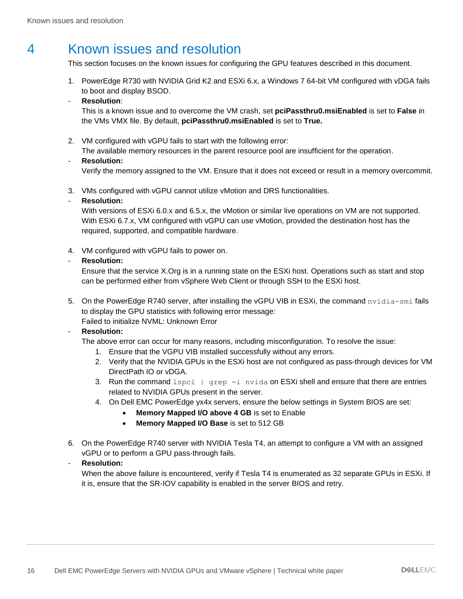## <span id="page-15-0"></span>4 Known issues and resolution

This section focuses on the known issues for configuring the GPU features described in this document.

1. PowerEdge R730 with NVIDIA Grid K2 and ESXi 6.x, a Windows 7 64-bit VM configured with vDGA fails to boot and display BSOD.

#### - **Resolution**:

This is a known issue and to overcome the VM crash, set **pciPassthru0.msiEnabled** is set to **False** in the VMs VMX file. By default, **pciPassthru0.msiEnabled** is set to **True.**

2. VM configured with vGPU fails to start with the following error:

The available memory resources in the parent resource pool are insufficient for the operation.

#### - **Resolution:**

Verify the memory assigned to the VM. Ensure that it does not exceed or result in a memory overcommit.

3. VMs configured with vGPU cannot utilize vMotion and DRS functionalities.

#### - **Resolution:**

With versions of ESXi 6.0.x and 6.5.x, the vMotion or similar live operations on VM are not supported. With ESXi 6.7.x, VM configured with vGPU can use vMotion, provided the destination host has the required, supported, and compatible hardware.

4. VM configured with vGPU fails to power on.

#### - **Resolution:**

Ensure that the service X.Org is in a running state on the ESXi host. Operations such as start and stop can be performed either from vSphere Web Client or through SSH to the ESXi host.

5. On the PowerEdge R740 server, after installing the vGPU VIB in ESXi, the command  $n\nu$ idia-smi fails to display the GPU statistics with following error message: Failed to initialize NVML: Unknown Error

#### - **Resolution:**

The above error can occur for many reasons, including misconfiguration. To resolve the issue:

- 1. Ensure that the VGPU VIB installed successfully without any errors.
- 2. Verify that the NVIDIA GPUs in the ESXi host are not configured as pass-through devices for VM DirectPath IO or vDGA.
- 3. Run the command  $lspci + grep -i$  nvida on ESXi shell and ensure that there are entries related to NVIDIA GPUs present in the server.
- 4. On Dell EMC PowerEdge yx4x servers, ensure the below settings in System BIOS are set:
	- **Memory Mapped I/O above 4 GB** is set to Enable
	- **Memory Mapped I/O Base** is set to 512 GB
- 6. On the PowerEdge R740 server with NVIDIA Tesla T4, an attempt to configure a VM with an assigned vGPU or to perform a GPU pass-through fails.

#### - **Resolution:**

When the above failure is encountered, verify if Tesla T4 is enumerated as 32 separate GPUs in ESXi. If it is, ensure that the SR-IOV capability is enabled in the server BIOS and retry.